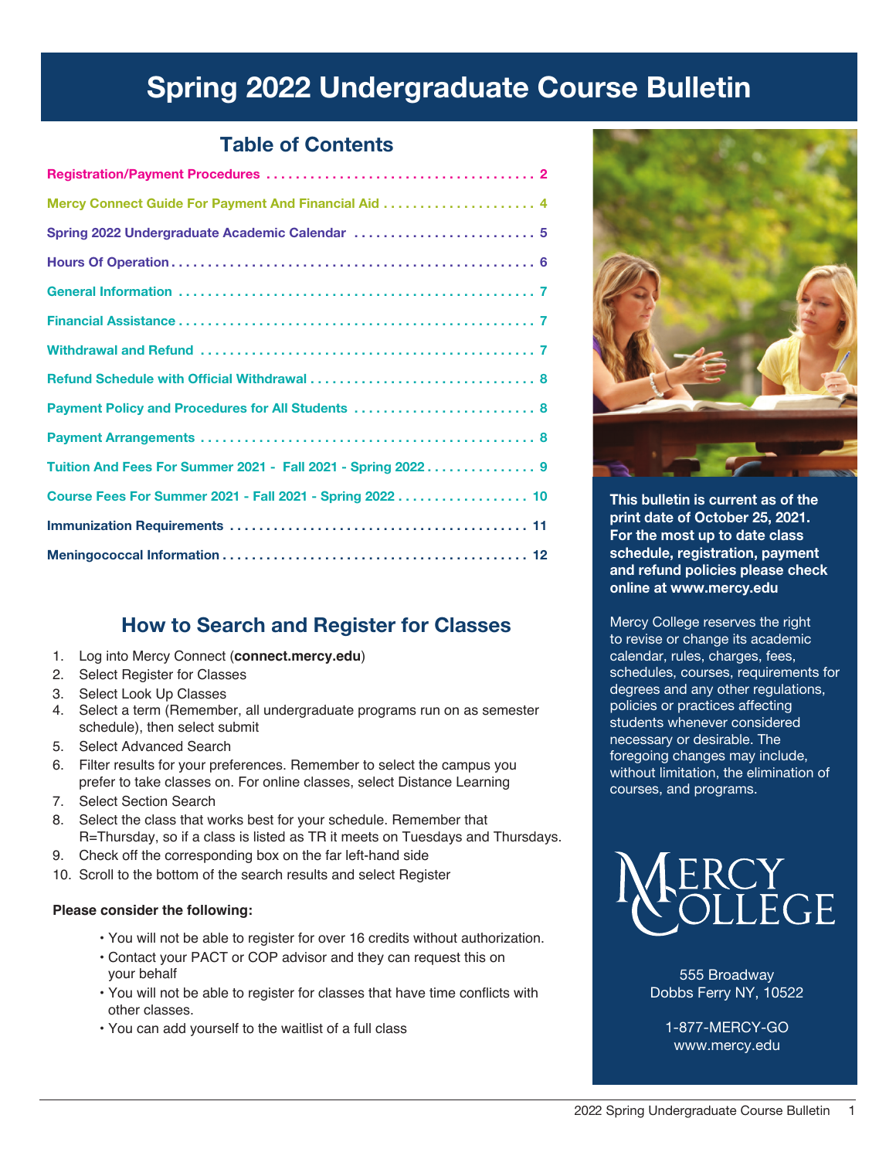# Spring 2022 Undergraduate Course Bulletin

# Table of Contents

# How to Search and Register for Classes

- 1. Log into Mercy Connect (**connect.mercy.edu**)
- 2. Select Register for Classes
- 3. Select Look Up Classes
- 4. Select a term (Remember, all undergraduate programs run on as semester schedule), then select submit
- 5. Select Advanced Search
- 6. Filter results for your preferences. Remember to select the campus you prefer to take classes on. For online classes, select Distance Learning
- 7. Select Section Search
- 8. Select the class that works best for your schedule. Remember that R=Thursday, so if a class is listed as TR it meets on Tuesdays and Thursdays.
- 9. Check off the corresponding box on the far left-hand side
- 10. Scroll to the bottom of the search results and select Register

## **Please consider the following:**

- You will not be able to register for over 16 credits without authorization.
- Contact your PACT or COP advisor and they can request this on your behalf
- You will not be able to register for classes that have time conflicts with other classes.
- You can add yourself to the waitlist of a full class



This bulletin is current as of the print date of October 25, 2021. For the most up to date class schedule, registration, payment and refund policies please check online at www.mercy.edu

Mercy College reserves the right to revise or change its academic calendar, rules, charges, fees, schedules, courses, requirements for degrees and any other regulations, policies or practices affecting students whenever considered necessary or desirable. The foregoing changes may include, without limitation, the elimination of courses, and programs.



555 Broadway Dobbs Ferry NY, 10522

1-877-MERCY-GO www.mercy.edu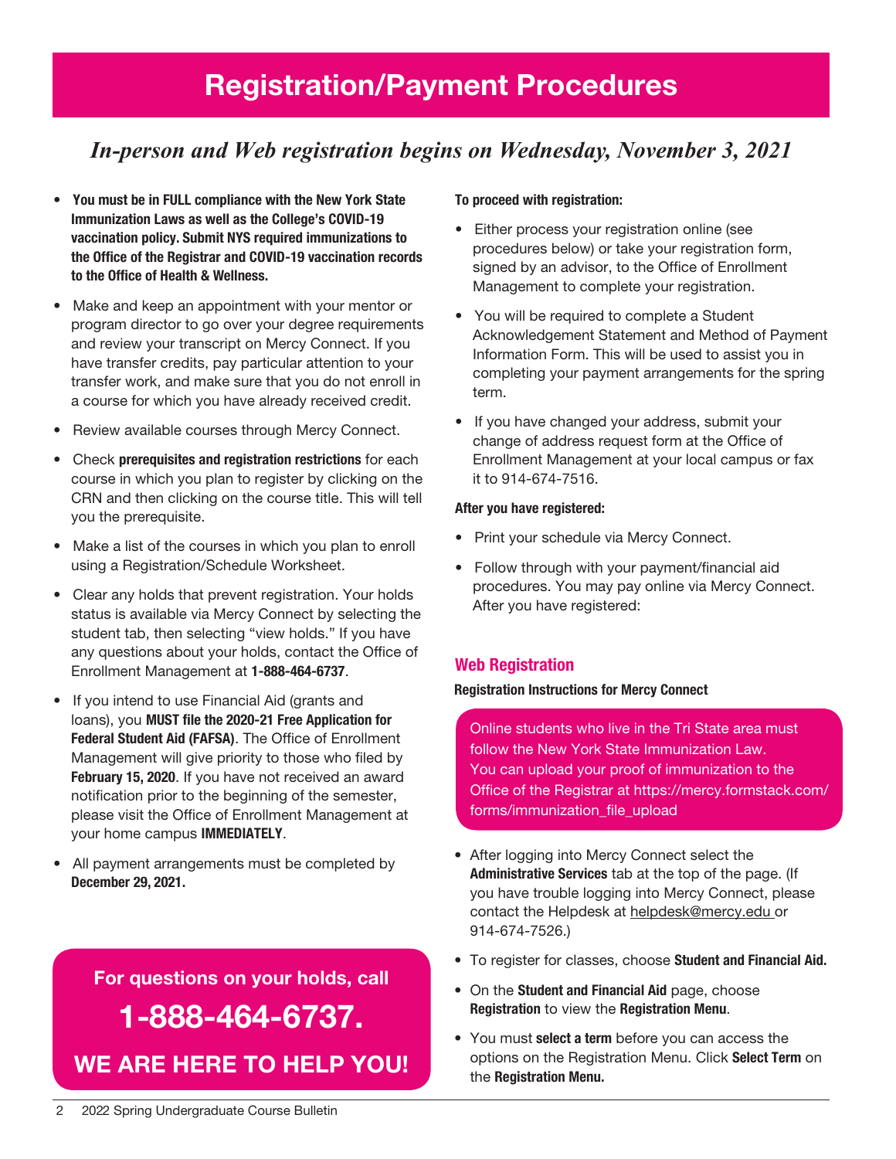# Registration/Payment Procedures

# *In-person and Web registration begins on Wednesday, November 3, 2021*

- You must be in FULL compliance with the New York State Immunization Laws as well as the College's COVID-19 vaccination policy. Submit NYS required immunizations to the Office of the Registrar and COVID-19 vaccination records to the Office of Health & Wellness.
- Make and keep an appointment with your mentor or program director to go over your degree requirements and review your transcript on Mercy Connect. If you have transfer credits, pay particular attention to your transfer work, and make sure that you do not enroll in a course for which you have already received credit.
- Review available courses through Mercy Connect.
- Check prerequisites and registration restrictions for each course in which you plan to register by clicking on the CRN and then clicking on the course title. This will tell you the prerequisite.
- Make a list of the courses in which you plan to enroll using a Registration/Schedule Worksheet.
- Clear any holds that prevent registration. Your holds status is available via Mercy Connect by selecting the student tab, then selecting "view holds." If you have any questions about your holds, contact the Office of Enrollment Management at 1-888-464-6737.
- If you intend to use Financial Aid (grants and loans), you MUST file the 2020-21 Free Application for Federal Student Aid (FAFSA). The Office of Enrollment Management will give priority to those who filed by February 15, 2020. If you have not received an award notification prior to the beginning of the semester, please visit the Office of Enrollment Management at your home campus IMMEDIATELY.
- All payment arrangements must be completed by December 29, 2021.

# For questions on your holds, call 1-888-464-6737. We are here to help You!

### To proceed with registration:

- Either process your registration online (see procedures below) or take your registration form, signed by an advisor, to the Office of Enrollment Management to complete your registration.
- You will be required to complete a Student Acknowledgement Statement and Method of Payment Information Form. This will be used to assist you in completing your payment arrangements for the spring term.
- If you have changed your address, submit your change of address request form at the Office of Enrollment Management at your local campus or fax it to 914-674-7516.

#### After you have registered:

- Print your schedule via Mercy Connect.
- Follow through with your payment/financial aid procedures. You may pay online via Mercy Connect. After you have registered:

## Web Registration

### Registration Instructions for Mercy Connect

Online students who live in the Tri State area must follow the New York State Immunization Law. You can upload your proof of immunization to the Office of the Registrar at https://mercy.formstack.com/ forms/immunization\_file\_upload

- After logging into Mercy Connect select the Administrative Services tab at the top of the page. (If you have trouble logging into Mercy Connect, please contact the Helpdesk at helpdesk@mercy.edu or 914-674-7526.)
- To register for classes, choose Student and Financial Aid.
- On the Student and Financial Aid page, choose Registration to view the Registration Menu.
- You must select a term before you can access the options on the Registration Menu. Click Select Term on the Registration Menu.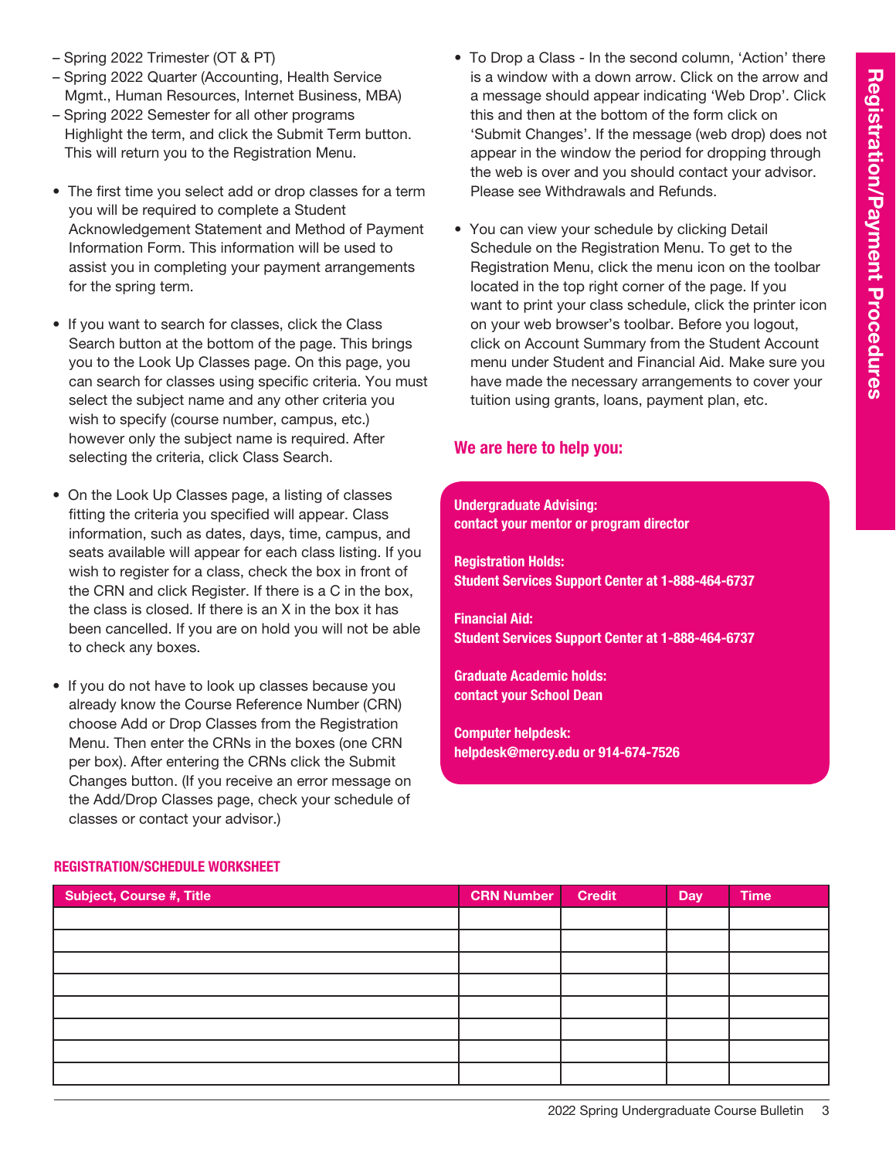- Spring 2022 Trimester (OT & PT)
- Spring 2022 Quarter (Accounting, Health Service Mgmt., Human Resources, Internet Business, MBA)
- Spring 2022 Semester for all other programs Highlight the term, and click the Submit Term button. This will return you to the Registration Menu.
- The first time you select add or drop classes for a term you will be required to complete a Student Acknowledgement Statement and Method of Payment Information Form. This information will be used to assist you in completing your payment arrangements for the spring term.
- If you want to search for classes, click the Class Search button at the bottom of the page. This brings you to the Look Up Classes page. On this page, you can search for classes using specific criteria. You must select the subject name and any other criteria you wish to specify (course number, campus, etc.) however only the subject name is required. After selecting the criteria, click Class Search.
- On the Look Up Classes page, a listing of classes fitting the criteria you specified will appear. Class information, such as dates, days, time, campus, and seats available will appear for each class listing. If you wish to register for a class, check the box in front of the CRN and click Register. If there is a C in the box, the class is closed. If there is an X in the box it has been cancelled. If you are on hold you will not be able to check any boxes.
- If you do not have to look up classes because you already know the Course Reference Number (CRN) choose Add or Drop Classes from the Registration Menu. Then enter the CRNs in the boxes (one CRN per box). After entering the CRNs click the Submit Changes button. (If you receive an error message on the Add/Drop Classes page, check your schedule of classes or contact your advisor.)
- To Drop a Class In the second column, 'Action' there is a window with a down arrow. Click on the arrow and a message should appear indicating 'Web Drop'. Click this and then at the bottom of the form click on 'Submit Changes'. If the message (web drop) does not appear in the window the period for dropping through the web is over and you should contact your advisor. Please see Withdrawals and Refunds.
- You can view your schedule by clicking Detail Schedule on the Registration Menu. To get to the Registration Menu, click the menu icon on the toolbar located in the top right corner of the page. If you want to print your class schedule, click the printer icon on your web browser's toolbar. Before you logout, click on Account Summary from the Student Account menu under Student and Financial Aid. Make sure you have made the necessary arrangements to cover your tuition using grants, loans, payment plan, etc.

## We are here to help you:

### Undergraduate Advising: contact your mentor or program director

Registration Holds: Student Services Support Center at 1-888-464-6737

Financial Aid: Student Services Support Center at 1-888-464-6737

Graduate Academic holds: contact your School Dean

Computer helpdesk: helpdesk@mercy.edu or 914-674-7526

| <b>Subject, Course #, Title</b> | <b>CRN Number</b> | <b>Credit</b> | Day | <b>Time</b> |
|---------------------------------|-------------------|---------------|-----|-------------|
|                                 |                   |               |     |             |
|                                 |                   |               |     |             |
|                                 |                   |               |     |             |
|                                 |                   |               |     |             |
|                                 |                   |               |     |             |
|                                 |                   |               |     |             |
|                                 |                   |               |     |             |
|                                 |                   |               |     |             |

## Registration/Schedule Worksheet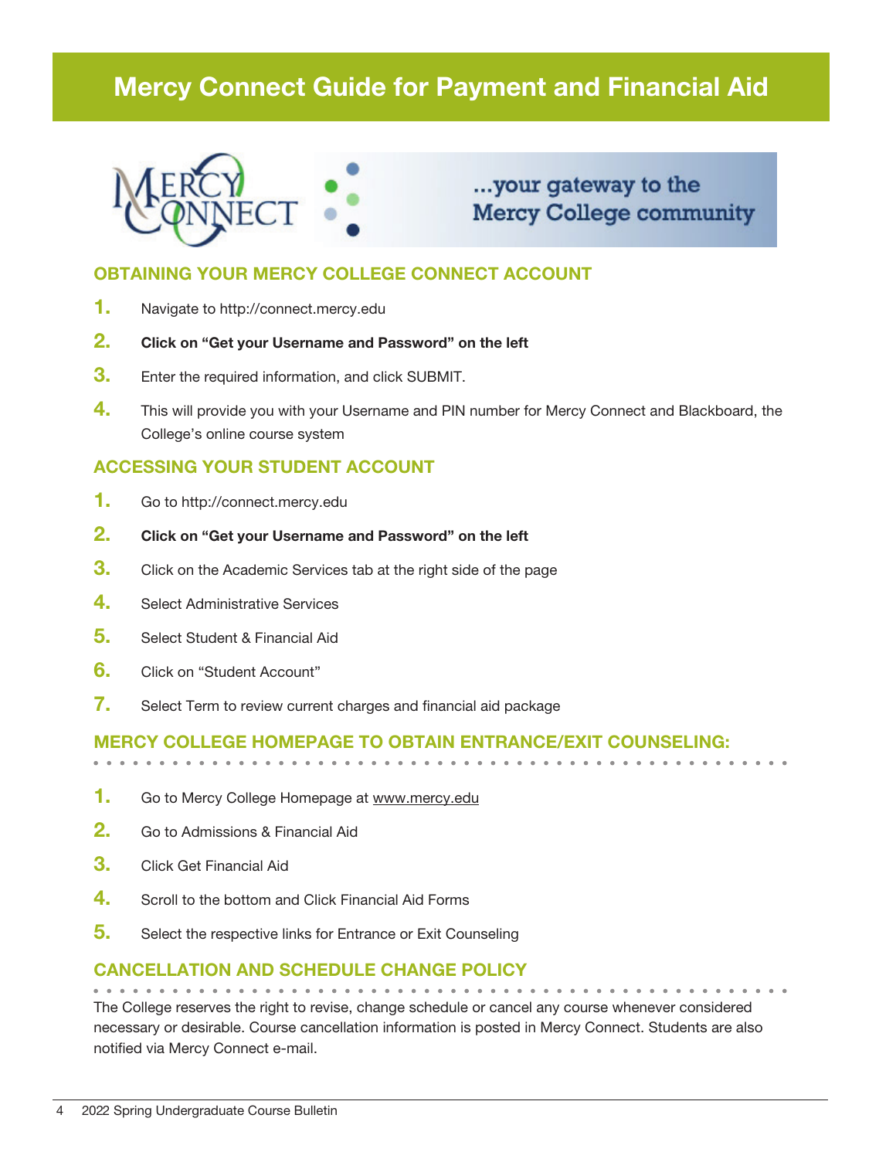# Mercy Connect Guide for Payment and Financial Aid



# ...your gateway to the **Mercy College community**

# OBTAINING YOUR MERCY COLLEGE CONNECT ACCOUNT

- 1. Navigate to http://connect.mercy.edu
- 2. Click on "Get your Username and Password" on the left
- **3.** Enter the required information, and click SUBMIT.
- 4. This will provide you with your Username and PIN number for Mercy Connect and Blackboard, the College's online course system

# ACCESSING YOUR STUDENT ACCOUNT

- 1. Go to http://connect.mercy.edu
- 2. Click on "Get your Username and Password" on the left
- **3.** Click on the Academic Services tab at the right side of the page
- 4. Select Administrative Services
- 5. Select Student & Financial Aid
- 6. Click on "Student Account"
- 7. Select Term to review current charges and financial aid package

# Mercy College homepage to obtain entrance/exit counseling:

- 1. Go to Mercy College Homepage at www.mercy.edu
- 2. Go to Admissions & Financial Aid
- 3. Click Get Financial Aid
- 4. Scroll to the bottom and Click Financial Aid Forms
- **5.** Select the respective links for Entrance or Exit Counseling

## Cancellation and Schedule Change Policy

The College reserves the right to revise, change schedule or cancel any course whenever considered necessary or desirable. Course cancellation information is posted in Mercy Connect. Students are also notified via Mercy Connect e-mail.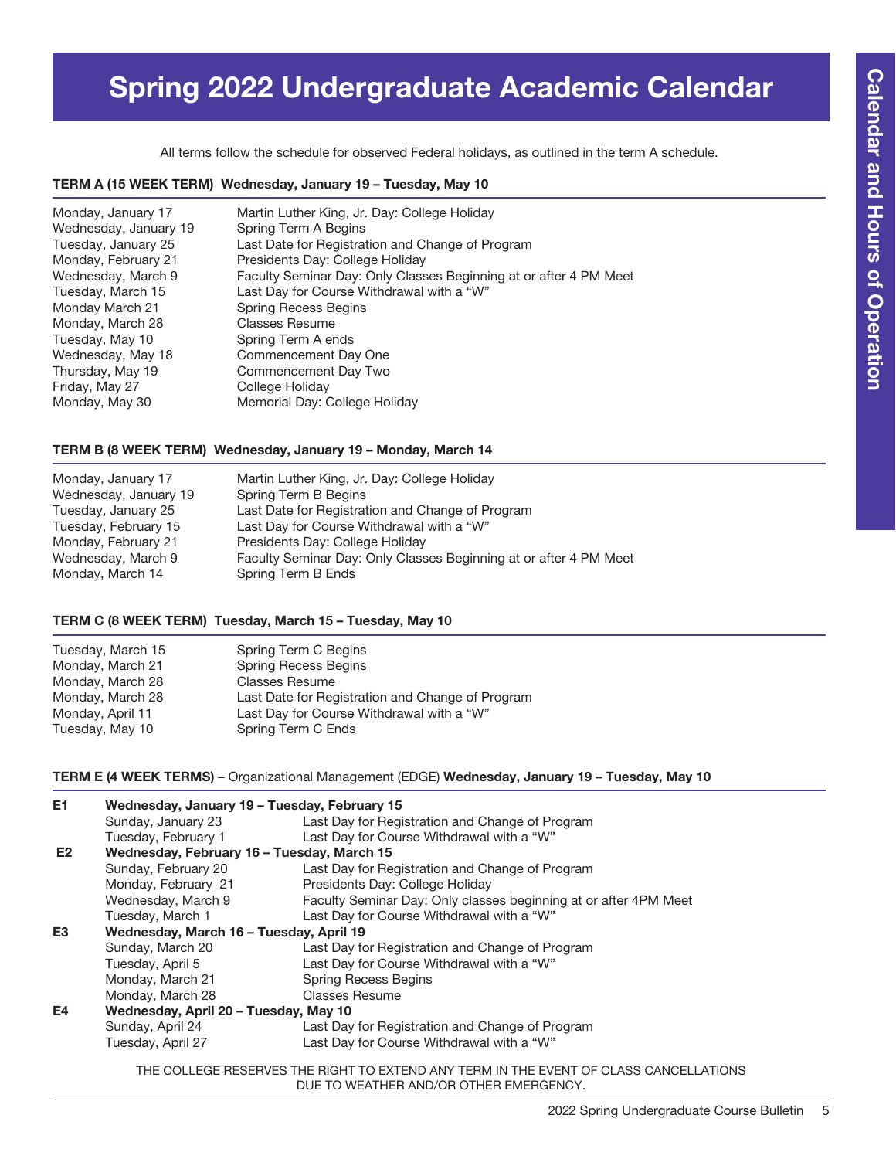# Spring 2022 Undergraduate Academic Calendar

All terms follow the schedule for observed Federal holidays, as outlined in the term A schedule.

#### TERM A (15 WEEK TERM) Wednesday, January 19 – Tuesday, May 10

| Monday, January 17    | Martin Luther King, Jr. Day: College Holiday                      |
|-----------------------|-------------------------------------------------------------------|
| Wednesday, January 19 | Spring Term A Begins                                              |
| Tuesday, January 25   | Last Date for Registration and Change of Program                  |
| Monday, February 21   | Presidents Day: College Holiday                                   |
| Wednesday, March 9    | Faculty Seminar Day: Only Classes Beginning at or after 4 PM Meet |
| Tuesday, March 15     | Last Day for Course Withdrawal with a "W"                         |
| Monday March 21       | Spring Recess Begins                                              |
| Monday, March 28      | Classes Resume                                                    |
| Tuesday, May 10       | Spring Term A ends                                                |
| Wednesday, May 18     | Commencement Day One                                              |
| Thursday, May 19      | Commencement Day Two                                              |
| Friday, May 27        | College Holiday                                                   |
| Monday, May 30        | Memorial Day: College Holiday                                     |

### TERM B (8 WEEK TERM) Wednesday, January 19 – Monday, March 14

| Monday, January 17    | Martin Luther King, Jr. Day: College Holiday                      |
|-----------------------|-------------------------------------------------------------------|
| Wednesday, January 19 | Spring Term B Begins                                              |
| Tuesday, January 25   | Last Date for Registration and Change of Program                  |
| Tuesday, February 15  | Last Day for Course Withdrawal with a "W"                         |
| Monday, February 21   | Presidents Day: College Holiday                                   |
| Wednesday, March 9    | Faculty Seminar Day: Only Classes Beginning at or after 4 PM Meet |
| Monday, March 14      | Spring Term B Ends                                                |

### TERM C (8 WEEK TERM) Tuesday, March 15 – Tuesday, May 10

| Tuesday, March 15 | Spring Term C Begins                             |
|-------------------|--------------------------------------------------|
| Monday, March 21  | <b>Spring Recess Begins</b>                      |
| Monday, March 28  | <b>Classes Resume</b>                            |
| Monday, March 28  | Last Date for Registration and Change of Program |
| Monday, April 11  | Last Day for Course Withdrawal with a "W"        |
| Tuesday, May 10   | Spring Term C Ends                               |

TERM E (4 WEEK TERMS) – Organizational Management (EDGE) Wednesday, January 19 – Tuesday, May 10

| E1             | Wednesday, January 19 - Tuesday, February 15 |                                                                  |  |
|----------------|----------------------------------------------|------------------------------------------------------------------|--|
|                | Sunday, January 23                           | Last Day for Registration and Change of Program                  |  |
|                | Tuesday, February 1                          | Last Day for Course Withdrawal with a "W"                        |  |
| E <sub>2</sub> | Wednesday, February 16 - Tuesday, March 15   |                                                                  |  |
|                | Sunday, February 20                          | Last Day for Registration and Change of Program                  |  |
|                | Monday, February 21                          | Presidents Day: College Holiday                                  |  |
|                | Wednesday, March 9                           | Faculty Seminar Day: Only classes beginning at or after 4PM Meet |  |
|                | Tuesday, March 1                             | Last Day for Course Withdrawal with a "W"                        |  |
| E3             | Wednesday, March 16 - Tuesday, April 19      |                                                                  |  |
|                | Sunday, March 20                             | Last Day for Registration and Change of Program                  |  |
|                | Tuesday, April 5                             | Last Day for Course Withdrawal with a "W"                        |  |
|                | Monday, March 21                             | <b>Spring Recess Begins</b>                                      |  |
|                | Monday, March 28                             | <b>Classes Resume</b>                                            |  |
| E4             | Wednesday, April 20 - Tuesday, May 10        |                                                                  |  |
|                | Sunday, April 24                             | Last Day for Registration and Change of Program                  |  |
|                | Tuesday, April 27                            | Last Day for Course Withdrawal with a "W"                        |  |
|                |                                              |                                                                  |  |

THE COLLEGE RESERVES THE RIGHT TO EXTEND ANY TERM IN THE EVENT OF CLASS CANCELLATIONS DUE TO WEATHER AND/OR OTHER EMERGENCY.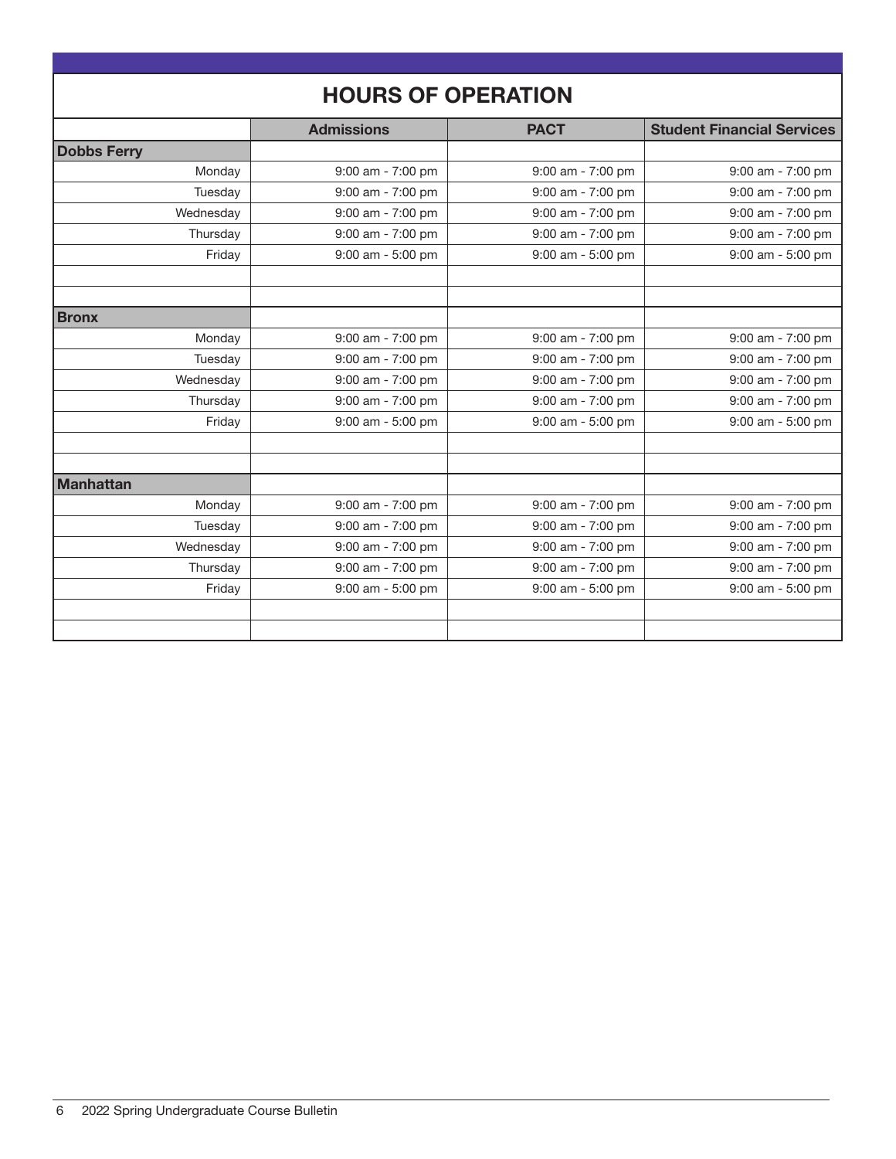| <b>HOURS OF OPERATION</b> |                   |                       |                                   |
|---------------------------|-------------------|-----------------------|-----------------------------------|
|                           | <b>Admissions</b> | <b>PACT</b>           | <b>Student Financial Services</b> |
| <b>Dobbs Ferry</b>        |                   |                       |                                   |
| Monday                    | 9:00 am - 7:00 pm | 9:00 am - 7:00 pm     | 9:00 am - 7:00 pm                 |
| Tuesday                   | 9:00 am - 7:00 pm | 9:00 am - 7:00 pm     | 9:00 am - 7:00 pm                 |
| Wednesday                 | 9:00 am - 7:00 pm | 9:00 am - 7:00 pm     | 9:00 am - 7:00 pm                 |
| Thursday                  | 9:00 am - 7:00 pm | 9:00 am - 7:00 pm     | 9:00 am - 7:00 pm                 |
| Friday                    | 9:00 am - 5:00 pm | 9:00 am - 5:00 pm     | 9:00 am - 5:00 pm                 |
|                           |                   |                       |                                   |
|                           |                   |                       |                                   |
| <b>Bronx</b>              |                   |                       |                                   |
| Monday                    | 9:00 am - 7:00 pm | 9:00 am - 7:00 pm     | 9:00 am - 7:00 pm                 |
| Tuesday                   | 9:00 am - 7:00 pm | 9:00 am - 7:00 pm     | 9:00 am - 7:00 pm                 |
| Wednesday                 | 9:00 am - 7:00 pm | 9:00 am - 7:00 pm     | 9:00 am - 7:00 pm                 |
| Thursday                  | 9:00 am - 7:00 pm | 9:00 am - 7:00 pm     | 9:00 am - 7:00 pm                 |
| Friday                    | 9:00 am - 5:00 pm | $9:00$ am - $5:00$ pm | 9:00 am - 5:00 pm                 |
|                           |                   |                       |                                   |
|                           |                   |                       |                                   |
| <b>Manhattan</b>          |                   |                       |                                   |
| Monday                    | 9:00 am - 7:00 pm | 9:00 am - 7:00 pm     | 9:00 am - 7:00 pm                 |
| Tuesday                   | 9:00 am - 7:00 pm | 9:00 am - 7:00 pm     | 9:00 am - 7:00 pm                 |
| Wednesday                 | 9:00 am - 7:00 pm | 9:00 am - 7:00 pm     | 9:00 am - 7:00 pm                 |
| Thursday                  | 9:00 am - 7:00 pm | 9:00 am - 7:00 pm     | 9:00 am - 7:00 pm                 |
| Friday                    | 9:00 am - 5:00 pm | 9:00 am - 5:00 pm     | 9:00 am - 5:00 pm                 |
|                           |                   |                       |                                   |
|                           |                   |                       |                                   |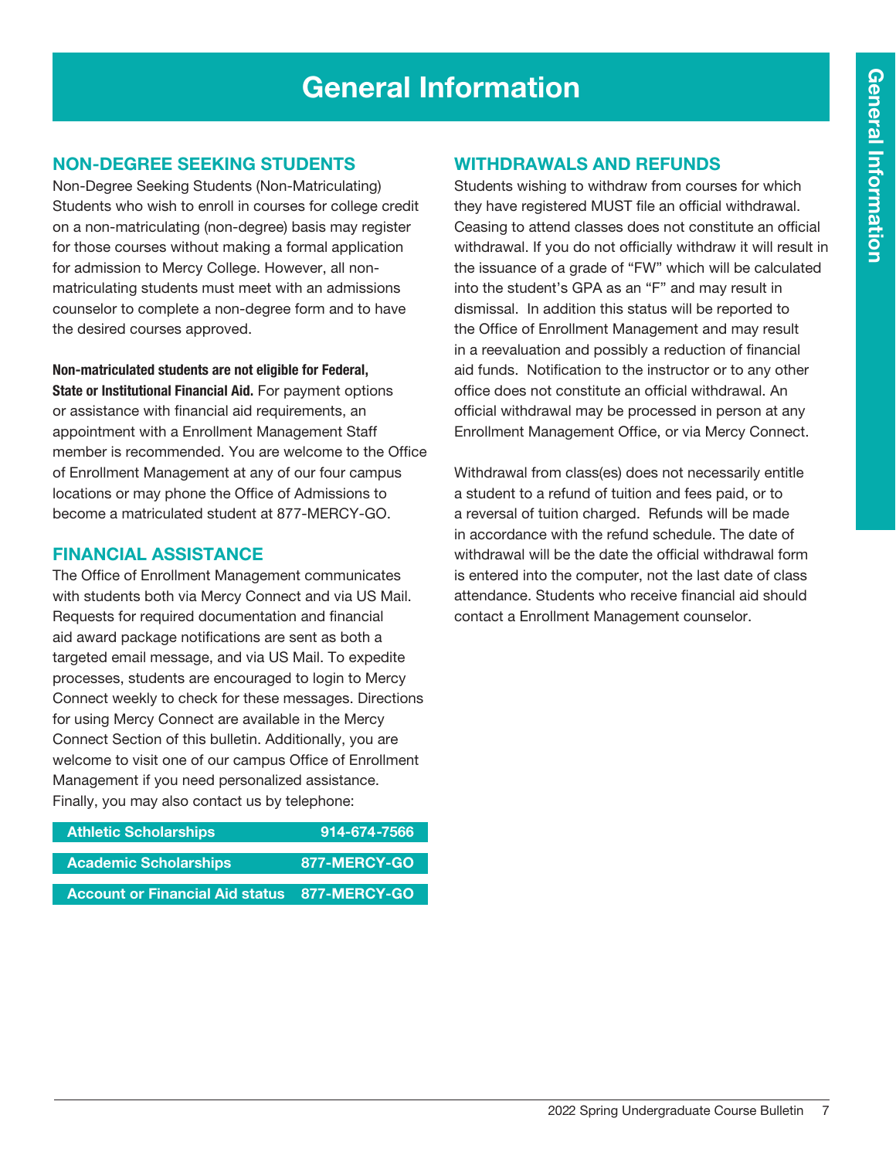# General Information

## Non-Degree Seeking Students

Non-Degree Seeking Students (Non-Matriculating) Students who wish to enroll in courses for college credit on a non-matriculating (non-degree) basis may register for those courses without making a formal application for admission to Mercy College. However, all nonmatriculating students must meet with an admissions counselor to complete a non-degree form and to have the desired courses approved.

Non-matriculated students are not eligible for Federal,

State or Institutional Financial Aid. For payment options or assistance with financial aid requirements, an appointment with a Enrollment Management Staff member is recommended. You are welcome to the Office of Enrollment Management at any of our four campus locations or may phone the Office of Admissions to become a matriculated student at 877-MERCY-GO.

### Financial Assistance

The Office of Enrollment Management communicates with students both via Mercy Connect and via US Mail. Requests for required documentation and financial aid award package notifications are sent as both a targeted email message, and via US Mail. To expedite processes, students are encouraged to login to Mercy Connect weekly to check for these messages. Directions for using Mercy Connect are available in the Mercy Connect Section of this bulletin. Additionally, you are welcome to visit one of our campus Office of Enrollment Management if you need personalized assistance. Finally, you may also contact us by telephone:

| <b>Athletic Scholarships</b>                        | 914-674-7566  |
|-----------------------------------------------------|---------------|
| <b>Academic Scholarships</b>                        | 877-MERCY-GO' |
| <b>Account or Financial Aid status 877-MERCY-GO</b> |               |

## Withdrawals and Refunds

Students wishing to withdraw from courses for which they have registered MUST file an official withdrawal. Ceasing to attend classes does not constitute an official withdrawal. If you do not officially withdraw it will result in the issuance of a grade of "FW" which will be calculated into the student's GPA as an "F" and may result in dismissal. In addition this status will be reported to the Office of Enrollment Management and may result in a reevaluation and possibly a reduction of financial aid funds. Notification to the instructor or to any other office does not constitute an official withdrawal. An official withdrawal may be processed in person at any Enrollment Management Office, or via Mercy Connect.

Withdrawal from class(es) does not necessarily entitle a student to a refund of tuition and fees paid, or to a reversal of tuition charged. Refunds will be made in accordance with the refund schedule. The date of withdrawal will be the date the official withdrawal form is entered into the computer, not the last date of class attendance. Students who receive financial aid should contact a Enrollment Management counselor.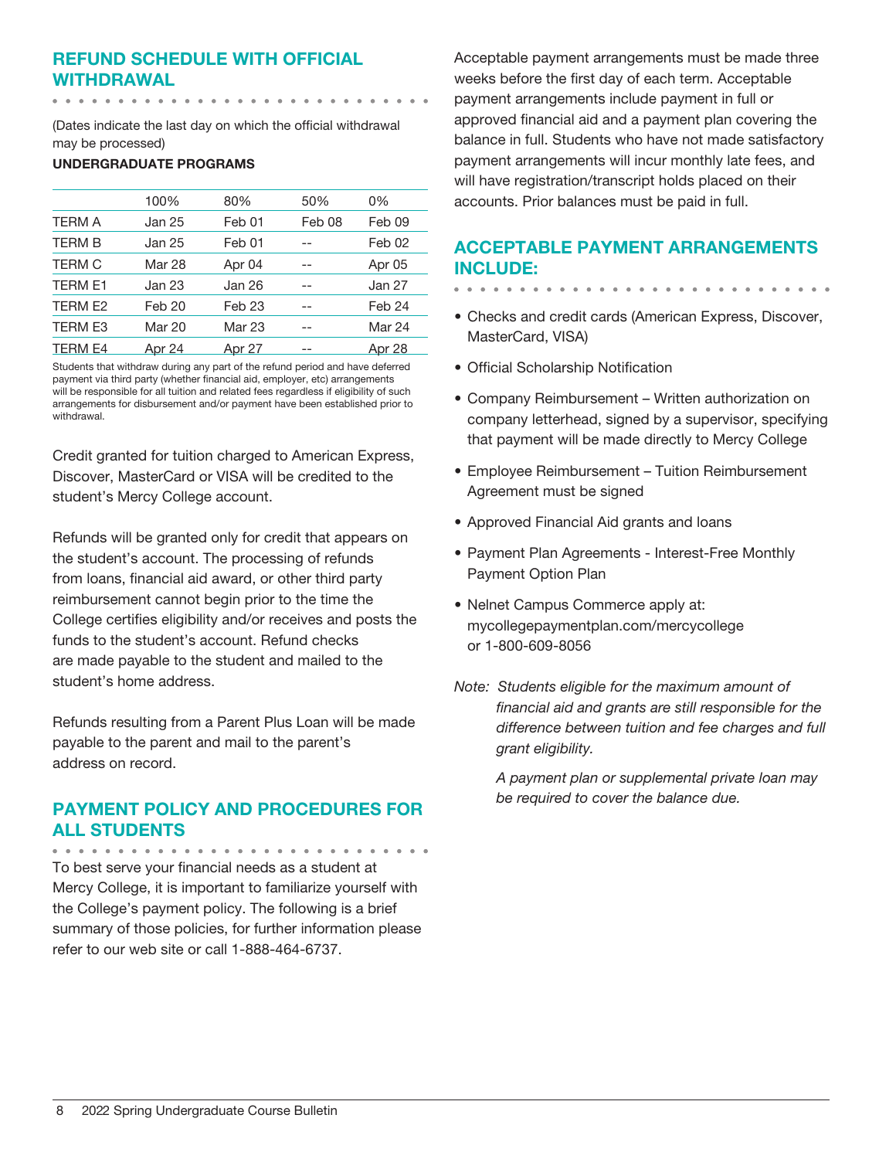# Refund Schedule with Official Withdrawal

(Dates indicate the last day on which the official withdrawal may be processed)

#### UNDERGRADUATE PROGRAMS

|                | 100%   | 80%               | 50%               | 0%     |
|----------------|--------|-------------------|-------------------|--------|
| <b>TERM A</b>  | Jan 25 | Feb 01            | Feb <sub>08</sub> | Feb 09 |
| <b>TERM B</b>  | Jan 25 | Feb 01            |                   | Feb 02 |
| <b>TERM C</b>  | Mar 28 | Apr 04            |                   | Apr 05 |
| <b>TERM E1</b> | Jan 23 | Jan 26            |                   | Jan 27 |
| TERM E2        | Feb 20 | Feb <sub>23</sub> |                   | Feb 24 |
| <b>TERM E3</b> | Mar 20 | Mar 23            |                   | Mar 24 |
| <b>TERM E4</b> | Apr 24 | Apr 27            |                   | Apr 28 |

Students that withdraw during any part of the refund period and have deferred payment via third party (whether financial aid, employer, etc) arrangements will be responsible for all tuition and related fees regardless if eligibility of such arrangements for disbursement and/or payment have been established prior to withdrawal.

Credit granted for tuition charged to American Express, Discover, MasterCard or VISA will be credited to the student's Mercy College account.

Refunds will be granted only for credit that appears on the student's account. The processing of refunds from loans, financial aid award, or other third party reimbursement cannot begin prior to the time the College certifies eligibility and/or receives and posts the funds to the student's account. Refund checks are made payable to the student and mailed to the student's home address.

Refunds resulting from a Parent Plus Loan will be made payable to the parent and mail to the parent's address on record.

# Payment Policy and Procedures for all Students

To best serve your financial needs as a student at Mercy College, it is important to familiarize yourself with the College's payment policy. The following is a brief summary of those policies, for further information please refer to our web site or call 1-888-464-6737.

Acceptable payment arrangements must be made three weeks before the first day of each term. Acceptable payment arrangements include payment in full or approved financial aid and a payment plan covering the balance in full. Students who have not made satisfactory payment arrangements will incur monthly late fees, and will have registration/transcript holds placed on their accounts. Prior balances must be paid in full.

# Acceptable Payment Arrangements include:

- 
- Checks and credit cards (American Express, Discover, MasterCard, VISA)
- Official Scholarship Notification
- Company Reimbursement Written authorization on company letterhead, signed by a supervisor, specifying that payment will be made directly to Mercy College
- Employee Reimbursement Tuition Reimbursement Agreement must be signed
- Approved Financial Aid grants and loans
- Payment Plan Agreements Interest-Free Monthly Payment Option Plan
- Nelnet Campus Commerce apply at: mycollegepaymentplan.com/mercycollege or 1-800-609-8056
- *Note: Students eligible for the maximum amount of financial aid and grants are still responsible for the difference between tuition and fee charges and full grant eligibility.*

*A payment plan or supplemental private loan may be required to cover the balance due.*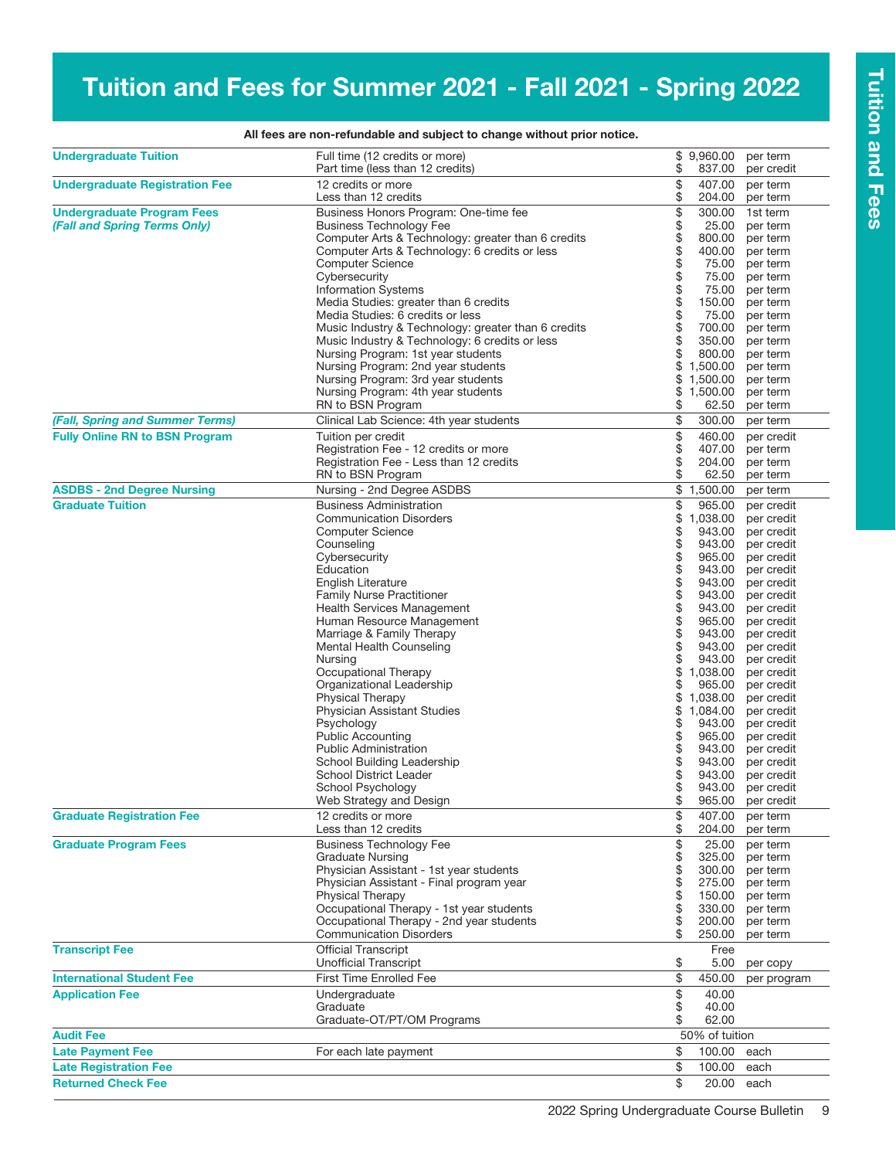# Tuition and Fees for Summer 2021 - Fall 2021 - Spring 2022

| <b>Undergraduate Tuition</b>          | Full time (12 credits or more)<br>Part time (less than 12 credits)                   | \$       | \$9,960.00<br>837.00 | per term<br>per credit   |
|---------------------------------------|--------------------------------------------------------------------------------------|----------|----------------------|--------------------------|
| <b>Undergraduate Registration Fee</b> | 12 credits or more                                                                   | \$       | 407.00               | per term                 |
|                                       | Less than 12 credits                                                                 | \$       | 204.00               | per term                 |
| <b>Undergraduate Program Fees</b>     | Business Honors Program: One-time fee                                                | \$       | 300.00               | 1st term                 |
| (Fall and Spring Terms Only)          | <b>Business Technology Fee</b>                                                       | \$       | 25.00                | per term                 |
|                                       | Computer Arts & Technology: greater than 6 credits                                   | \$       | 800.00               | per term                 |
|                                       | Computer Arts & Technology: 6 credits or less                                        | \$       | 400.00               | per term                 |
|                                       | <b>Computer Science</b>                                                              | \$       | 75.00                | per term                 |
|                                       | Cybersecurity                                                                        | \$       | 75.00                | per term                 |
|                                       | <b>Information Systems</b>                                                           | \$       | 75.00                | per term                 |
|                                       | Media Studies: greater than 6 credits                                                | \$       | 150.00               | per term                 |
|                                       | Media Studies: 6 credits or less                                                     | \$       | 75.00                | per term                 |
|                                       | Music Industry & Technology: greater than 6 credits                                  | \$       | 700.00               | per term                 |
|                                       | Music Industry & Technology: 6 credits or less                                       | \$<br>\$ | 350.00               | per term                 |
|                                       | Nursing Program: 1st year students<br>Nursing Program: 2nd year students             | \$       | 800.00<br>1,500.00   | per term<br>per term     |
|                                       | Nursing Program: 3rd year students                                                   |          | \$1,500.00           | per term                 |
|                                       | Nursing Program: 4th year students                                                   |          | \$1,500.00           | per term                 |
|                                       | RN to BSN Program                                                                    | \$       | 62.50                | per term                 |
| (Fall, Spring and Summer Terms)       | Clinical Lab Science: 4th year students                                              | \$       | 300.00               | per term                 |
| <b>Fully Online RN to BSN Program</b> | Tuition per credit                                                                   | \$       | 460.00               | per credit               |
|                                       | Registration Fee - 12 credits or more                                                | \$       | 407.00               | per term                 |
|                                       | Registration Fee - Less than 12 credits                                              | \$       | 204.00               | per term                 |
|                                       | RN to BSN Program                                                                    | \$       | 62.50                | per term                 |
| <b>ASDBS - 2nd Degree Nursing</b>     | Nursing - 2nd Degree ASDBS                                                           |          | \$1,500.00           | per term                 |
| <b>Graduate Tuition</b>               | <b>Business Administration</b>                                                       | \$       | 965.00               | per credit               |
|                                       | <b>Communication Disorders</b>                                                       | \$       | 1,038.00             | per credit               |
|                                       | <b>Computer Science</b>                                                              | \$       | 943.00               | per credit               |
|                                       | Counseling                                                                           | \$       | 943.00               | per credit               |
|                                       | Cybersecurity                                                                        | \$       | 965.00               | per credit               |
|                                       | Education                                                                            | \$       | 943.00               | per credit               |
|                                       | English Literature                                                                   | \$       | 943.00               | per credit               |
|                                       | <b>Family Nurse Practitioner</b>                                                     | \$       | 943.00               | per credit               |
|                                       | <b>Health Services Management</b>                                                    | \$       | 943.00               | per credit               |
|                                       | Human Resource Management                                                            | \$       | 965.00               | per credit               |
|                                       | Marriage & Family Therapy                                                            | \$       | 943.00               | per credit               |
|                                       | Mental Health Counseling                                                             | \$<br>\$ | 943.00<br>943.00     | per credit               |
|                                       | Nursing<br>Occupational Therapy                                                      | \$       | 1,038.00             | per credit<br>per credit |
|                                       | Organizational Leadership                                                            | \$       | 965.00               | per credit               |
|                                       | Physical Therapy                                                                     | \$       | 1,038.00             | per credit               |
|                                       | Physician Assistant Studies                                                          | \$       | 1,084.00             | per credit               |
|                                       | Psychology                                                                           | \$       | 943.00               | per credit               |
|                                       | <b>Public Accounting</b>                                                             | \$       | 965.00               | per credit               |
|                                       | <b>Public Administration</b>                                                         | \$       | 943.00               | per credit               |
|                                       | School Building Leadership                                                           | \$       | 943.00               | per credit               |
|                                       | <b>School District Leader</b>                                                        | \$       | 943.00               | per credit               |
|                                       | School Psychology                                                                    |          | 943.00               | per credit               |
|                                       | Web Strategy and Design                                                              | \$       |                      | 965.00 per credit        |
| <b>Graduate Registration Fee</b>      | 12 credits or more                                                                   | \$       | 407.00               | per term                 |
|                                       | Less than 12 credits                                                                 | \$       | 204.00               | per term                 |
| <b>Graduate Program Fees</b>          | <b>Business Technology Fee</b>                                                       | \$       | 25.00                | per term                 |
|                                       | <b>Graduate Nursing</b>                                                              | \$       | 325.00               | per term                 |
|                                       | Physician Assistant - 1st year students                                              | \$       | 300.00               | per term                 |
|                                       | Physician Assistant - Final program year                                             | \$       | 275.00               | per term                 |
|                                       | <b>Physical Therapy</b>                                                              | \$       | 150.00               | per term                 |
|                                       | Occupational Therapy - 1st year students<br>Occupational Therapy - 2nd year students | \$<br>\$ | 330.00<br>200.00     | per term<br>per term     |
|                                       | <b>Communication Disorders</b>                                                       | \$       | 250.00               | per term                 |
| <b>Transcript Fee</b>                 | <b>Official Transcript</b>                                                           |          | Free                 |                          |
|                                       | <b>Unofficial Transcript</b>                                                         | \$       | 5.00                 | per copy                 |
| <b>International Student Fee</b>      | <b>First Time Enrolled Fee</b>                                                       | \$       | 450.00               | per program              |
| <b>Application Fee</b>                | Undergraduate                                                                        | \$       | 40.00                |                          |
|                                       | Graduate                                                                             | \$       | 40.00                |                          |
|                                       | Graduate-OT/PT/OM Programs                                                           | \$       | 62.00                |                          |
| <b>Audit Fee</b>                      |                                                                                      |          | 50% of tuition       |                          |
| <b>Late Payment Fee</b>               | For each late payment                                                                | \$       | 100.00               | each                     |
| <b>Late Registration Fee</b>          |                                                                                      | \$       | 100.00               | each                     |
| <b>Returned Check Fee</b>             |                                                                                      | \$       | 20.00                | each                     |

All fees are non-refundable and subject to change without prior notice.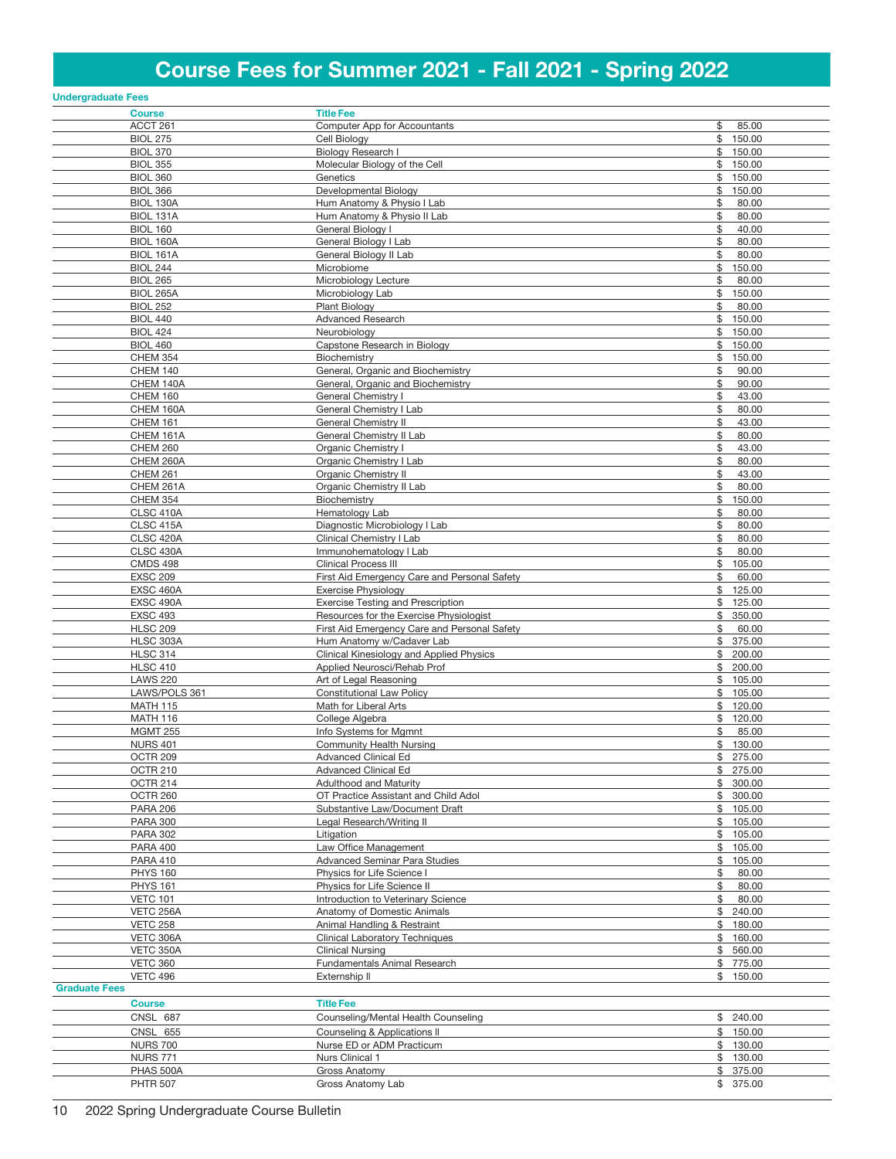# Course Fees for Summer 2021 - Fall 2021 - Spring 2022

| <b>Undergraduate Fees</b>           |                                                                                     |                              |
|-------------------------------------|-------------------------------------------------------------------------------------|------------------------------|
| <b>Course</b>                       | <b>Title Fee</b>                                                                    |                              |
| ACCT 261                            | <b>Computer App for Accountants</b>                                                 | \$<br>85.00                  |
| <b>BIOL 275</b>                     | Cell Biology                                                                        | \$150.00                     |
| <b>BIOL 370</b>                     | Biology Research I                                                                  | \$150.00                     |
| <b>BIOL 355</b>                     | Molecular Biology of the Cell                                                       | 150.00<br>\$                 |
| <b>BIOL 360</b><br><b>BIOL 366</b>  | Genetics<br>Developmental Biology                                                   | \$<br>150.00<br>150.00<br>\$ |
| BIOL 130A                           | Hum Anatomy & Physio I Lab                                                          | \$<br>80.00                  |
| <b>BIOL 131A</b>                    | Hum Anatomy & Physio II Lab                                                         | \$<br>80.00                  |
| <b>BIOL 160</b>                     | General Biology I                                                                   | \$<br>40.00                  |
| BIOL 160A                           | General Biology I Lab                                                               | \$<br>80.00                  |
| BIOL 161A                           | General Biology II Lab                                                              | \$<br>80.00                  |
| <b>BIOL 244</b>                     | Microbiome                                                                          | \$<br>150.00                 |
| <b>BIOL 265</b>                     | Microbiology Lecture                                                                | \$<br>80.00<br>150.00        |
| <b>BIOL 265A</b><br><b>BIOL 252</b> | Microbiology Lab<br><b>Plant Biology</b>                                            | \$<br>\$<br>80.00            |
| <b>BIOL 440</b>                     | <b>Advanced Research</b>                                                            | \$150.00                     |
| <b>BIOL 424</b>                     | Neurobiology                                                                        | \$150.00                     |
| <b>BIOL 460</b>                     | Capstone Research in Biology                                                        | \$150.00                     |
| <b>CHEM 354</b>                     | Biochemistry                                                                        | 150.00<br>\$                 |
| <b>CHEM 140</b>                     | General, Organic and Biochemistry                                                   | \$<br>90.00                  |
| CHEM 140A                           | General, Organic and Biochemistry                                                   | \$<br>90.00                  |
| <b>CHEM 160</b><br>CHEM 160A        | General Chemistry I<br>General Chemistry I Lab                                      | \$<br>43.00<br>\$<br>80.00   |
| <b>CHEM 161</b>                     | General Chemistry II                                                                | \$<br>43.00                  |
| CHEM 161A                           | General Chemistry II Lab                                                            | \$<br>80.00                  |
| <b>CHEM 260</b>                     | Organic Chemistry I                                                                 | \$<br>43.00                  |
| CHEM 260A                           | Organic Chemistry I Lab                                                             | \$<br>80.00                  |
| <b>CHEM 261</b>                     | Organic Chemistry II                                                                | \$<br>43.00                  |
| CHEM 261A                           | Organic Chemistry II Lab                                                            | \$<br>80.00                  |
| <b>CHEM 354</b>                     | Biochemistry                                                                        | \$<br>150.00                 |
| CLSC 410A<br>CLSC 415A              | Hematology Lab<br>Diagnostic Microbiology I Lab                                     | \$<br>80.00<br>\$<br>80.00   |
| CLSC 420A                           | Clinical Chemistry I Lab                                                            | \$<br>80.00                  |
| CLSC 430A                           | Immunohematology I Lab                                                              | \$<br>80.00                  |
| <b>CMDS 498</b>                     | <b>Clinical Process III</b>                                                         | \$<br>105.00                 |
| <b>EXSC 209</b>                     | First Aid Emergency Care and Personal Safety                                        | \$<br>60.00                  |
| EXSC 460A                           | <b>Exercise Physiology</b>                                                          | \$<br>125.00                 |
| EXSC 490A<br><b>EXSC 493</b>        | <b>Exercise Testing and Prescription</b><br>Resources for the Exercise Physiologist | \$<br>125.00<br>\$<br>350.00 |
| <b>HLSC 209</b>                     | First Aid Emergency Care and Personal Safety                                        | \$<br>60.00                  |
| HLSC 303A                           | Hum Anatomy w/Cadaver Lab                                                           | \$<br>375.00                 |
| <b>HLSC 314</b>                     | Clinical Kinesiology and Applied Physics                                            | \$200.00                     |
| <b>HLSC 410</b>                     | Applied Neurosci/Rehab Prof                                                         | \$200.00                     |
| <b>LAWS 220</b>                     | Art of Legal Reasoning                                                              | \$105.00                     |
| LAWS/POLS 361                       | <b>Constitutional Law Policy</b>                                                    | \$105.00                     |
| <b>MATH 115</b>                     | Math for Liberal Arts<br>College Algebra                                            | \$120.00                     |
| <b>MATH 116</b><br><b>MGMT 255</b>  | Info Systems for Mgmnt                                                              | \$120.00<br>\$<br>85.00      |
| <b>NURS 401</b>                     | <b>Community Health Nursing</b>                                                     | \$130.00                     |
| OCTR 209                            | Advanced Clinical Ed                                                                | \$275.00                     |
| <b>OCTR 210</b>                     | Advanced Clinical Ed                                                                | \$275.00                     |
| OCTR 214                            | <b>Adulthood and Maturity</b>                                                       | \$300.00                     |
| OCTR 260                            | OT Practice Assistant and Child Adol                                                | \$300.00                     |
| <b>PARA 206</b><br><b>PARA 300</b>  | Substantive Law/Document Draft<br>Legal Research/Writing II                         | \$105.00<br>\$105.00         |
| <b>PARA 302</b>                     | Litigation                                                                          | \$105.00                     |
| <b>PARA 400</b>                     | Law Office Management                                                               | \$105.00                     |
| <b>PARA 410</b>                     | Advanced Seminar Para Studies                                                       | \$105.00                     |
| <b>PHYS 160</b>                     | Physics for Life Science I                                                          | \$<br>80.00                  |
| <b>PHYS 161</b>                     | Physics for Life Science II                                                         | \$<br>80.00                  |
| <b>VETC 101</b>                     | Introduction to Veterinary Science                                                  | \$<br>80.00                  |
| VETC 256A<br><b>VETC 258</b>        | Anatomy of Domestic Animals                                                         | \$240.00                     |
| VETC 306A                           | Animal Handling & Restraint<br><b>Clinical Laboratory Techniques</b>                | \$180.00<br>\$160.00         |
| VETC 350A                           | <b>Clinical Nursing</b>                                                             | \$560.00                     |
| <b>VETC 360</b>                     | Fundamentals Animal Research                                                        | \$775.00                     |
| <b>VETC 496</b>                     | Externship II                                                                       | \$150.00                     |
| <b>Graduate Fees</b>                |                                                                                     |                              |
| <b>Course</b>                       | <b>Title Fee</b>                                                                    |                              |
| CNSL 687                            | Counseling/Mental Health Counseling                                                 | \$240.00                     |
| CNSL 655                            | Counseling & Applications II                                                        | \$150.00                     |
| <b>NURS 700</b><br><b>NURS 771</b>  | Nurse ED or ADM Practicum<br>Nurs Clinical 1                                        | \$130.00<br>\$130.00         |
| PHAS 500A                           | Gross Anatomy                                                                       | \$375.00                     |
| <b>PHTR 507</b>                     | Gross Anatomy Lab                                                                   | \$375.00                     |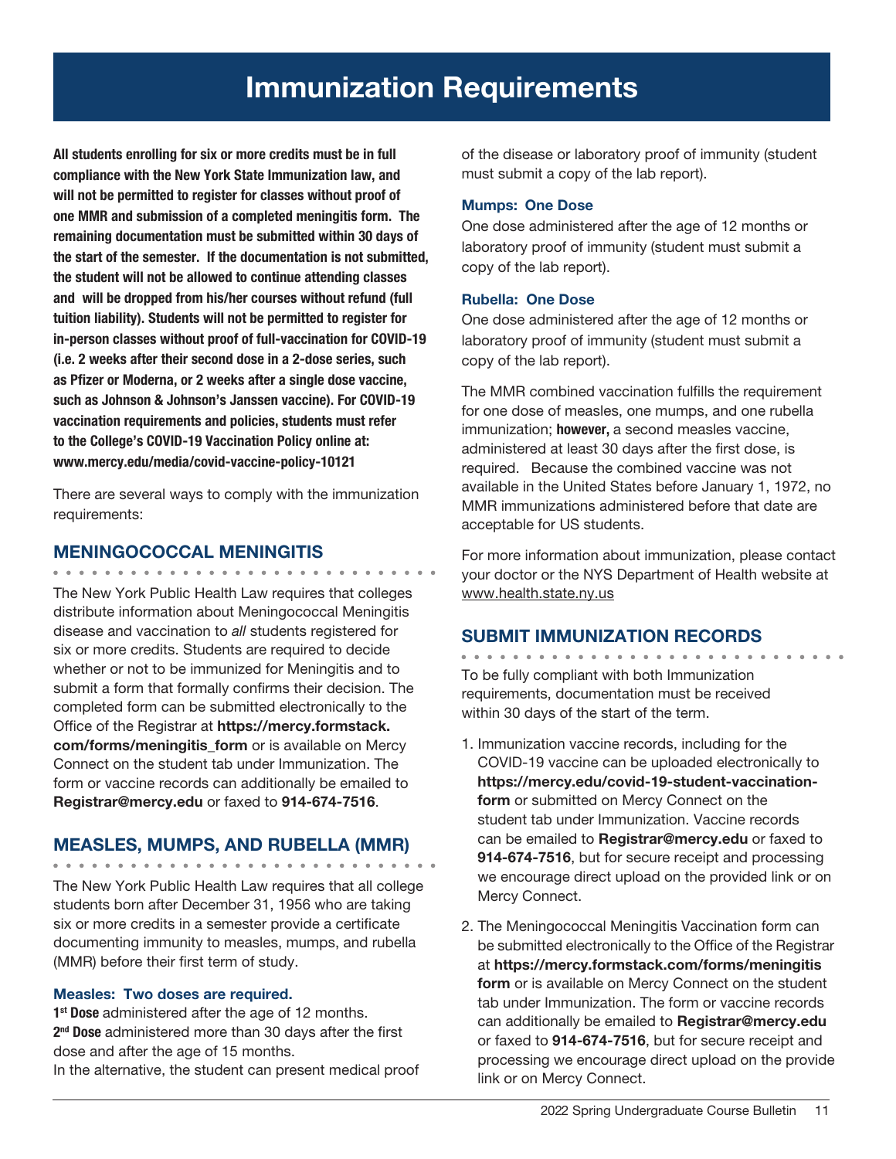All students enrolling for six or more credits must be in full compliance with the New York State Immunization law, and will not be permitted to register for classes without proof of one MMR and submission of a completed meningitis form. The remaining documentation must be submitted within 30 days of the start of the semester. If the documentation is not submitted, the student will not be allowed to continue attending classes and will be dropped from his/her courses without refund (full tuition liability). Students will not be permitted to register for in-person classes without proof of full-vaccination for COVID-19 (i.e. 2 weeks after their second dose in a 2-dose series, such as Pfizer or Moderna, or 2 weeks after a single dose vaccine, such as Johnson & Johnson's Janssen vaccine). For COVID-19 vaccination requirements and policies, students must refer to the College's COVID-19 Vaccination Policy online at: www.mercy.edu/media/covid-vaccine-policy-10121

There are several ways to comply with the immunization requirements:

## MENINGOCOCCAL MENINGITIS

. . . . . . . . . . . . . . . . . . . The New York Public Health Law requires that colleges distribute information about Meningococcal Meningitis disease and vaccination to *all* students registered for six or more credits. Students are required to decide whether or not to be immunized for Meningitis and to submit a form that formally confirms their decision. The completed form can be submitted electronically to the Office of the Registrar at https://mercy.formstack. com/forms/meningitis form or is available on Mercy Connect on the student tab under Immunization. The form or vaccine records can additionally be emailed to Registrar@mercy.edu or faxed to 914-674-7516.

## MEASLES, MUMPS, AND RUBELLA (MMR)

The New York Public Health Law requires that all college students born after December 31, 1956 who are taking six or more credits in a semester provide a certificate documenting immunity to measles, mumps, and rubella (MMR) before their first term of study.

## Measles: Two doses are required.

1<sup>st</sup> Dose administered after the age of 12 months. 2<sup>nd</sup> Dose administered more than 30 days after the first dose and after the age of 15 months. In the alternative, the student can present medical proof of the disease or laboratory proof of immunity (student must submit a copy of the lab report).

### Mumps: One Dose

One dose administered after the age of 12 months or laboratory proof of immunity (student must submit a copy of the lab report).

### Rubella: One Dose

One dose administered after the age of 12 months or laboratory proof of immunity (student must submit a copy of the lab report).

The MMR combined vaccination fulfills the requirement for one dose of measles, one mumps, and one rubella immunization; however, a second measles vaccine, administered at least 30 days after the first dose, is required. Because the combined vaccine was not available in the United States before January 1, 1972, no MMR immunizations administered before that date are acceptable for US students.

For more information about immunization, please contact your doctor or the NYS Department of Health website at www.health.state.ny.us

# SUBMIT IMMUNIZATION RECORDS

To be fully compliant with both Immunization requirements, documentation must be received within 30 days of the start of the term.

- 1. Immunization vaccine records, including for the COVID-19 vaccine can be uploaded electronically to https://mercy.edu/covid-19-student-vaccinationform or submitted on Mercy Connect on the student tab under Immunization. Vaccine records can be emailed to Registrar@mercy.edu or faxed to 914-674-7516, but for secure receipt and processing we encourage direct upload on the provided link or on Mercy Connect.
- 2. The Meningococcal Meningitis Vaccination form can be submitted electronically to the Office of the Registrar at https://mercy.formstack.com/forms/meningitis form or is available on Mercy Connect on the student tab under Immunization. The form or vaccine records can additionally be emailed to Registrar@mercy.edu or faxed to 914-674-7516, but for secure receipt and processing we encourage direct upload on the provide link or on Mercy Connect.